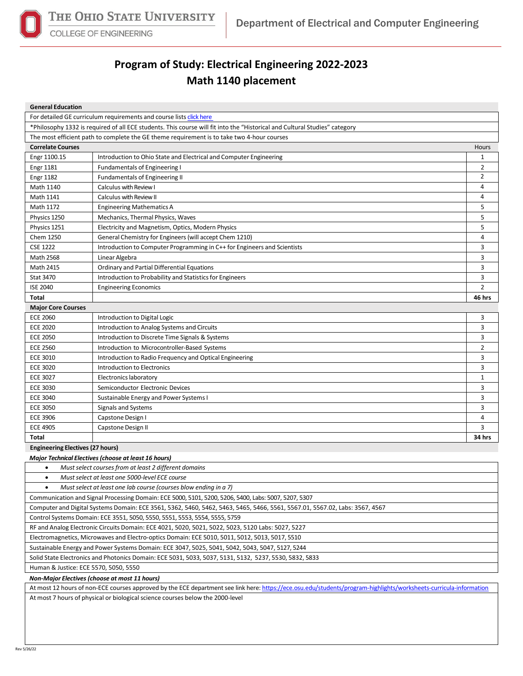

**COLLEGE OF ENGINEERING** 

## **Program of Study: Electrical Engineering 2022-2023 Math 1140 placement**

| <b>General Education</b>                                                                                                    |                                                                          |                |  |  |  |
|-----------------------------------------------------------------------------------------------------------------------------|--------------------------------------------------------------------------|----------------|--|--|--|
| For detailed GE curriculum requirements and course lists click here                                                         |                                                                          |                |  |  |  |
| *Philosophy 1332 is required of all ECE students. This course will fit into the "Historical and Cultural Studies" category  |                                                                          |                |  |  |  |
| The most efficient path to complete the GE theme requirement is to take two 4-hour courses                                  |                                                                          |                |  |  |  |
| <b>Correlate Courses</b><br>Hours                                                                                           |                                                                          |                |  |  |  |
| Engr 1100.15                                                                                                                | Introduction to Ohio State and Electrical and Computer Engineering       | 1              |  |  |  |
| <b>Engr 1181</b>                                                                                                            | <b>Fundamentals of Engineering I</b>                                     | $\overline{2}$ |  |  |  |
| <b>Engr 1182</b>                                                                                                            | Fundamentals of Engineering II                                           | $\overline{2}$ |  |  |  |
| Math 1140                                                                                                                   | Calculus with Review I                                                   | 4              |  |  |  |
| Math 1141                                                                                                                   | Calculus with Review II                                                  | 4              |  |  |  |
| Math 1172                                                                                                                   | <b>Engineering Mathematics A</b>                                         | 5              |  |  |  |
| Physics 1250                                                                                                                | Mechanics, Thermal Physics, Waves                                        | 5              |  |  |  |
| Physics 1251                                                                                                                | Electricity and Magnetism, Optics, Modern Physics                        | 5              |  |  |  |
| Chem 1250                                                                                                                   | General Chemistry for Engineers (will accept Chem 1210)                  | 4              |  |  |  |
| <b>CSE 1222</b>                                                                                                             | Introduction to Computer Programming in C++ for Engineers and Scientists | 3              |  |  |  |
| Math 2568                                                                                                                   | Linear Algebra                                                           | 3              |  |  |  |
| Math 2415                                                                                                                   | <b>Ordinary and Partial Differential Equations</b>                       | 3              |  |  |  |
| Stat 3470                                                                                                                   | Introduction to Probability and Statistics for Engineers                 | 3              |  |  |  |
| <b>ISE 2040</b>                                                                                                             | <b>Engineering Economics</b>                                             | $\overline{2}$ |  |  |  |
| Total                                                                                                                       |                                                                          | 46 hrs         |  |  |  |
| <b>Major Core Courses</b>                                                                                                   |                                                                          |                |  |  |  |
| <b>ECE 2060</b>                                                                                                             | Introduction to Digital Logic                                            | 3              |  |  |  |
| <b>ECE 2020</b>                                                                                                             | Introduction to Analog Systems and Circuits                              | 3              |  |  |  |
| <b>ECE 2050</b>                                                                                                             | Introduction to Discrete Time Signals & Systems                          | 3              |  |  |  |
| <b>ECE 2560</b>                                                                                                             | Introduction to Microcontroller-Based Systems                            | $\overline{2}$ |  |  |  |
| <b>ECE 3010</b>                                                                                                             | Introduction to Radio Frequency and Optical Engineering                  | 3              |  |  |  |
| <b>ECE 3020</b>                                                                                                             | Introduction to Electronics                                              | 3              |  |  |  |
| <b>ECE 3027</b>                                                                                                             | Electronics laboratory                                                   | 1              |  |  |  |
| <b>ECE 3030</b>                                                                                                             | Semiconductor Electronic Devices                                         | 3              |  |  |  |
| <b>ECE 3040</b>                                                                                                             | Sustainable Energy and Power Systems I                                   | 3              |  |  |  |
| <b>ECE 3050</b>                                                                                                             | Signals and Systems                                                      | 3              |  |  |  |
| <b>ECE 3906</b>                                                                                                             | Capstone Design I                                                        | 4              |  |  |  |
| <b>ECE 4905</b>                                                                                                             | Capstone Design II                                                       | 3              |  |  |  |
| Total                                                                                                                       |                                                                          | 34 hrs         |  |  |  |
| <b>Engineering Electives (27 hours)</b>                                                                                     |                                                                          |                |  |  |  |
|                                                                                                                             | <b>Major Technical Electives (choose at least 16 hours)</b>              |                |  |  |  |
| Must select courses from at least 2 different domains<br>$\bullet$                                                          |                                                                          |                |  |  |  |
| Must select at least one 5000-level ECE course<br>$\bullet$                                                                 |                                                                          |                |  |  |  |
| Must select at least one lab course (courses blow ending in a 7)                                                            |                                                                          |                |  |  |  |
| Communication and Signal Processing Domain: ECE 5000, 5101, 5200, 5206, 5400, Labs: 5007, 5207, 5307                        |                                                                          |                |  |  |  |
| Computer and Digital Systems Domain: ECE 3561, 5362, 5460, 5462, 5463, 5465, 5466, 5561, 5567.01, 5567.02, Labs: 3567, 4567 |                                                                          |                |  |  |  |
| Control Systems Domain: ECE 3551, 5050, 5550, 5551, 5553, 5554, 5555, 5759                                                  |                                                                          |                |  |  |  |
| RF and Analog Electronic Circuits Domain: ECE 4021, 5020, 5021, 5022, 5023, 5120 Labs: 5027, 5227                           |                                                                          |                |  |  |  |
| Electromagnetics, Microwaves and Electro-optics Domain: ECE 5010, 5011, 5012, 5013, 5017, 5510                              |                                                                          |                |  |  |  |
| Sustainable Energy and Power Systems Domain: ECE 3047, 5025, 5041, 5042, 5043, 5047, 5127, 5244                             |                                                                          |                |  |  |  |
| Solid State Electronics and Photonics Domain: ECE 5031, 5033, 5037, 5131, 5132, 5237, 5530, 5832, 5833                      |                                                                          |                |  |  |  |
| Human & Justice: ECE 5570, 5050, 5550                                                                                       |                                                                          |                |  |  |  |
| Non-Major Electives (choose at most 11 hours)                                                                               |                                                                          |                |  |  |  |

At most 12 hours of non-ECE courses approved by the ECE department see link here[: https://ece.osu.edu/students/program-highlights/worksheets-curricula-information](https://ece.osu.edu/students/program-highlights/worksheets-curricula-information)

At most 7 hours of physical or biological science courses below the 2000-level